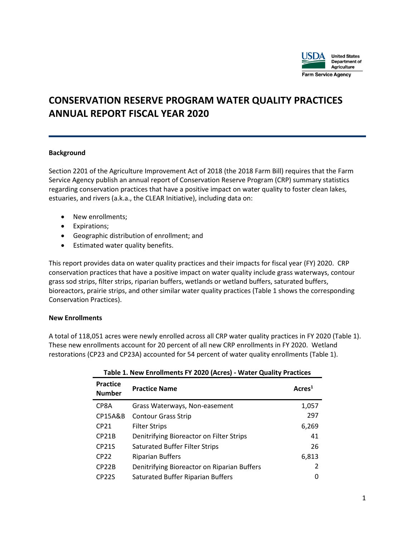

# **CONSERVATION RESERVE PROGRAM WATER QUALITY PRACTICES ANNUAL REPORT FISCAL YEAR 2020**

### **Background**

Section 2201 of the Agriculture Improvement Act of 2018 (the 2018 Farm Bill) requires that the Farm Service Agency publish an annual report of Conservation Reserve Program (CRP) summary statistics regarding conservation practices that have a positive impact on water quality to foster clean lakes, estuaries, and rivers (a.k.a., the CLEAR Initiative), including data on:

- New enrollments;
- Expirations;
- Geographic distribution of enrollment; and
- Estimated water quality benefits.

This report provides data on water quality practices and their impacts for fiscal year (FY) 2020. CRP conservation practices that have a positive impact on water quality include grass waterways, contour grass sod strips, filter strips, riparian buffers, wetlands or wetland buffers, saturated buffers, bioreactors, prairie strips, and other similar water quality practices (Table 1 shows the corresponding Conservation Practices).

### **New Enrollments**

A total of 118,051 acres were newly enrolled across all CRP water quality practices in FY 2020 (Table 1). These new enrollments account for 20 percent of all new CRP enrollments in FY 2020. Wetland restorations (CP23 and CP23A) accounted for 54 percent of water quality enrollments (Table 1).

| <b>Practice</b><br><b>Number</b> | <b>Practice Name</b>                        | Acres <sup>1</sup> |
|----------------------------------|---------------------------------------------|--------------------|
| CP8A                             | Grass Waterways, Non-easement               | 1,057              |
| <b>CP15A&amp;B</b>               | <b>Contour Grass Strip</b>                  | 297                |
| CP <sub>21</sub>                 | <b>Filter Strips</b>                        | 6,269              |
| CP <sub>21</sub> B               | Denitrifying Bioreactor on Filter Strips    | 41                 |
| CP <sub>21</sub> S               | <b>Saturated Buffer Filter Strips</b>       | 26                 |
| CP22                             | <b>Riparian Buffers</b>                     | 6,813              |
| CP <sub>22</sub> B               | Denitrifying Bioreactor on Riparian Buffers | $\mathcal{L}$      |
| CP <sub>22</sub> S               | Saturated Buffer Riparian Buffers           | 0                  |

### **Table 1. New Enrollments FY 2020 (Acres) - Water Quality Practices**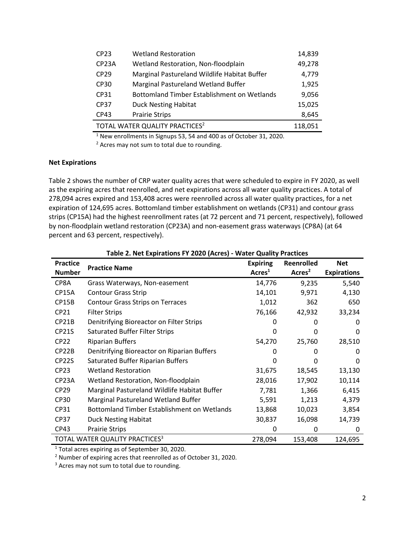| CP23                                       | <b>Wetland Restoration</b>                         | 14,839 |
|--------------------------------------------|----------------------------------------------------|--------|
| CP <sub>23</sub> A                         | Wetland Restoration, Non-floodplain                | 49,278 |
| CP <sub>29</sub>                           | Marginal Pastureland Wildlife Habitat Buffer       | 4,779  |
| CP30                                       | Marginal Pastureland Wetland Buffer                | 1,925  |
| CP31                                       | <b>Bottomland Timber Establishment on Wetlands</b> | 9,056  |
| CP37                                       | <b>Duck Nesting Habitat</b>                        | 15,025 |
| CP43                                       | <b>Prairie Strips</b>                              | 8,645  |
| TOTAL WATER QUALITY PRACTICES <sup>2</sup> | 118,051                                            |        |

<sup>1</sup> New enrollments in Signups 53, 54 and 400 as of October 31, 2020.

<sup>2</sup> Acres may not sum to total due to rounding.

### **Net Expirations**

Table 2 shows the number of CRP water quality acres that were scheduled to expire in FY 2020, as well as the expiring acres that reenrolled, and net expirations across all water quality practices. A total of 278,094 acres expired and 153,408 acres were reenrolled across all water quality practices, for a net expiration of 124,695 acres. Bottomland timber establishment on wetlands (CP31) and contour grass strips (CP15A) had the highest reenrollment rates (at 72 percent and 71 percent, respectively), followed by non-floodplain wetland restoration (CP23A) and non-easement grass waterways (CP8A) (at 64 percent and 63 percent, respectively).

| <b>Practice</b><br><b>Number</b> | <b>Practice Name</b>                               | <b>Expiring</b><br>Arcres <sup>1</sup> | Reenrolled<br>Acres <sup>2</sup> | <b>Net</b><br><b>Expirations</b> |
|----------------------------------|----------------------------------------------------|----------------------------------------|----------------------------------|----------------------------------|
| CP8A                             | Grass Waterways, Non-easement                      | 14,776                                 | 9,235                            | 5,540                            |
| CP15A                            | <b>Contour Grass Strip</b>                         | 14,101                                 | 9,971                            | 4,130                            |
| CP15B                            | <b>Contour Grass Strips on Terraces</b>            | 1,012                                  | 362                              | 650                              |
| CP21                             | <b>Filter Strips</b>                               | 76,166                                 | 42,932                           | 33,234                           |
| CP <sub>21</sub> B               | Denitrifying Bioreactor on Filter Strips           | 0                                      | 0                                | 0                                |
| <b>CP21S</b>                     | <b>Saturated Buffer Filter Strips</b>              | 0                                      | 0                                | 0                                |
| <b>CP22</b>                      | <b>Riparian Buffers</b>                            | 54,270                                 | 25,760                           | 28,510                           |
| CP <sub>22</sub> B               | Denitrifying Bioreactor on Riparian Buffers        | 0                                      | 0                                | 0                                |
| CP <sub>22</sub> S               | <b>Saturated Buffer Riparian Buffers</b>           | 0                                      | O                                | 0                                |
| <b>CP23</b>                      | <b>Wetland Restoration</b>                         | 31,675                                 | 18,545                           | 13,130                           |
| CP23A                            | Wetland Restoration, Non-floodplain                | 28,016                                 | 17,902                           | 10,114                           |
| <b>CP29</b>                      | Marginal Pastureland Wildlife Habitat Buffer       | 7,781                                  | 1,366                            | 6,415                            |
| <b>CP30</b>                      | Marginal Pastureland Wetland Buffer                | 5,591                                  | 1,213                            | 4,379                            |
| CP31                             | <b>Bottomland Timber Establishment on Wetlands</b> | 13,868                                 | 10,023                           | 3,854                            |
| <b>CP37</b>                      | <b>Duck Nesting Habitat</b>                        | 30,837                                 | 16,098                           | 14,739                           |
| <b>CP43</b>                      | Prairie Strips                                     | 0                                      | 0                                | 0                                |
|                                  | TOTAL WATER QUALITY PRACTICES <sup>3</sup>         | 278,094                                | 153,408                          | 124,695                          |

#### **Table 2. Net Expirations FY 2020 (Acres) - Water Quality Practices**

<sup>1</sup> Total acres expiring as of September 30, 2020.

<sup>2</sup> Number of expiring acres that reenrolled as of October 31, 2020.

<sup>3</sup> Acres may not sum to total due to rounding.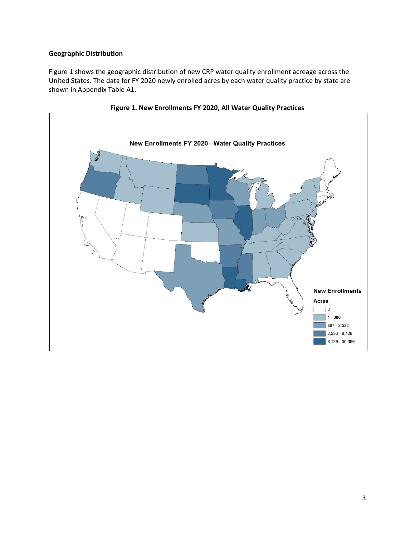## **Geographic Distribution**

Figure 1 shows the geographic distribution of new CRP water quality enrollment acreage across the United States. The data for FY 2020 newly enrolled acres by each water quality practice by state are shown in Appendix Table A1.



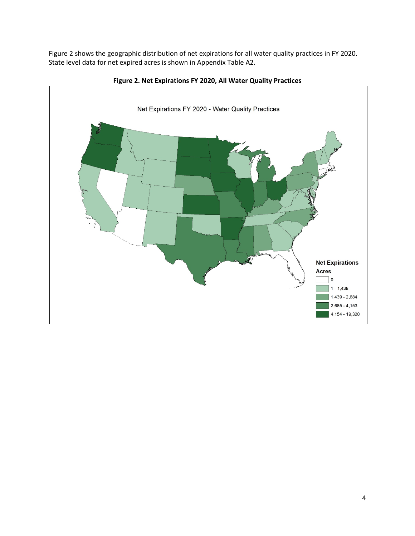Figure 2 shows the geographic distribution of net expirations for all water quality practices in FY 2020. State level data for net expired acres is shown in Appendix Table A2.



**Figure 2. Net Expirations FY 2020, All Water Quality Practices**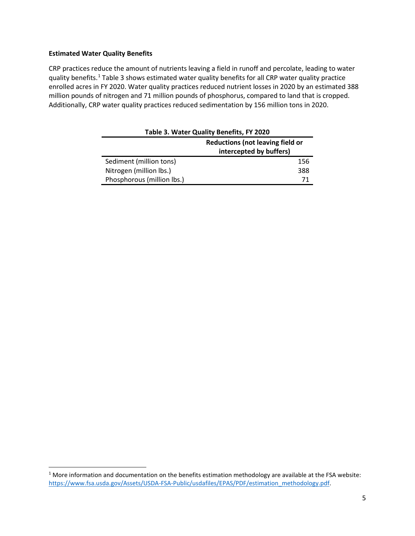### **Estimated Water Quality Benefits**

CRP practices reduce the amount of nutrients leaving a field in runoff and percolate, leading to water quality benefits.<sup>[1](#page-4-0)</sup> Table 3 shows estimated water quality benefits for all CRP water quality practice enrolled acres in FY 2020. Water quality practices reduced nutrient losses in 2020 by an estimated 388 million pounds of nitrogen and 71 million pounds of phosphorus, compared to land that is cropped. Additionally, CRP water quality practices reduced sedimentation by 156 million tons in 2020.

| Table 3. Water Quality Benefits, FY 2020 |     |  |  |  |  |  |  |  |
|------------------------------------------|-----|--|--|--|--|--|--|--|
| <b>Reductions (not leaving field or</b>  |     |  |  |  |  |  |  |  |
| intercepted by buffers)                  |     |  |  |  |  |  |  |  |
| Sediment (million tons)                  | 156 |  |  |  |  |  |  |  |
| Nitrogen (million lbs.)                  | 388 |  |  |  |  |  |  |  |
| Phosphorous (million lbs.)               |     |  |  |  |  |  |  |  |

<span id="page-4-0"></span>

| $1$ More information and documentation on the benefits estimation methodology are available at the FSA website: |
|-----------------------------------------------------------------------------------------------------------------|
| https://www.fsa.usda.gov/Assets/USDA-FSA-Public/usdafiles/EPAS/PDF/estimation methodology.pdf.                  |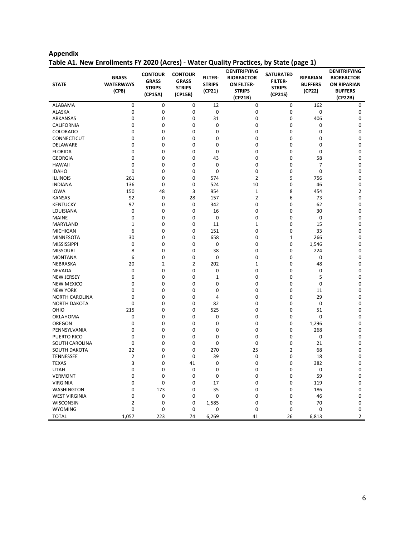| <b>STATE</b>          | <b>GRASS</b><br><b>WATERWAYS</b><br>(CP8) | <b>CONTOUR</b><br><b>GRASS</b><br><b>STRIPS</b><br>(CP15A) | <b>CONTOUR</b><br><b>GRASS</b><br><b>STRIPS</b><br>(CP15B) | <b>FILTER-</b><br><b>STRIPS</b><br>(CP21) | <b>DENITRIFYING</b><br><b>BIOREACTOR</b><br><b>ON FILTER-</b><br><b>STRIPS</b><br>(CP21B) | <b>SATURATED</b><br><b>FILTER-</b><br><b>STRIPS</b><br>(CP21S) | <b>RIPARIAN</b><br><b>BUFFERS</b><br>(CP22) | <b>DENITRIFYING</b><br><b>BIOREACTOR</b><br><b>ON RIPARIAN</b><br><b>BUFFERS</b><br>(CP22B) |
|-----------------------|-------------------------------------------|------------------------------------------------------------|------------------------------------------------------------|-------------------------------------------|-------------------------------------------------------------------------------------------|----------------------------------------------------------------|---------------------------------------------|---------------------------------------------------------------------------------------------|
| ALABAMA               | 0                                         | 0                                                          | 0                                                          | 12                                        | 0                                                                                         | 0                                                              | 162                                         | 0                                                                                           |
| <b>ALASKA</b>         | 0                                         | 0                                                          | $\mathbf 0$                                                | $\mathbf 0$                               | 0                                                                                         | 0                                                              | $\mathbf 0$                                 | $\mathbf 0$                                                                                 |
| ARKANSAS              | 0                                         | 0                                                          | 0                                                          | 31                                        | 0                                                                                         | 0                                                              | 406                                         | 0                                                                                           |
| <b>CALIFORNIA</b>     | 0                                         | 0                                                          | $\mathbf 0$                                                | 0                                         | 0                                                                                         | $\Omega$                                                       | 0                                           | $\mathbf 0$                                                                                 |
| <b>COLORADO</b>       | 0                                         | 0                                                          | 0                                                          | 0                                         | 0                                                                                         | $\mathbf 0$                                                    | 0                                           | 0                                                                                           |
| CONNECTICUT           | 0                                         | 0                                                          | 0                                                          | 0                                         | 0                                                                                         | 0                                                              | 0                                           | $\mathbf 0$                                                                                 |
| <b>DELAWARE</b>       | 0                                         | 0                                                          | $\mathbf 0$                                                | 0                                         | 0                                                                                         | 0                                                              | $\mathbf 0$                                 | $\mathbf 0$                                                                                 |
| <b>FLORIDA</b>        | 0                                         | 0                                                          | 0                                                          | 0                                         | 0                                                                                         | 0                                                              | 0                                           | $\mathbf 0$                                                                                 |
| <b>GEORGIA</b>        | 0                                         | 0                                                          | $\mathbf 0$                                                | 43                                        | 0                                                                                         | $\mathbf 0$                                                    | 58                                          | $\mathbf 0$                                                                                 |
| <b>HAWAII</b>         | 0                                         | 0                                                          | 0                                                          | 0                                         | 0                                                                                         | 0                                                              | $\overline{7}$                              | 0                                                                                           |
| <b>IDAHO</b>          | 0                                         | 0                                                          | 0                                                          | 0                                         | 0                                                                                         | $\mathbf 0$                                                    | 0                                           | $\mathbf 0$                                                                                 |
| <b>ILLINOIS</b>       | 261                                       | 0                                                          | $\mathbf 0$                                                | 574                                       | $\overline{2}$                                                                            | 9                                                              | 756                                         | $\mathbf 0$                                                                                 |
| <b>INDIANA</b>        | 136                                       | 0                                                          | 0                                                          | 524                                       | 10                                                                                        | 0                                                              | 46                                          | 0                                                                                           |
| <b>IOWA</b>           | 150                                       | 48                                                         | 3                                                          | 954                                       | $\mathbf{1}$                                                                              | 8                                                              | 454                                         | $\overline{2}$                                                                              |
| <b>KANSAS</b>         | 92                                        | 0                                                          | 28                                                         | 157                                       | $\overline{2}$                                                                            | 6                                                              | 73                                          | 0                                                                                           |
| <b>KENTUCKY</b>       | 97                                        | 0                                                          | 0                                                          | 342                                       | 0                                                                                         | 0                                                              | 62                                          | 0                                                                                           |
| LOUISIANA             | 0                                         | 0                                                          | 0                                                          | 16                                        | 0                                                                                         | 0                                                              | 30                                          | 0                                                                                           |
| <b>MAINE</b>          | 0                                         | 0                                                          | 0                                                          | 0                                         | 0                                                                                         | 0                                                              | 0                                           | $\mathbf 0$                                                                                 |
| MARYLAND              | $\mathbf 1$                               | 0                                                          | 0                                                          | 11                                        | $\mathbf{1}$                                                                              | 0                                                              | 15                                          | 0                                                                                           |
| <b>MICHIGAN</b>       | 6                                         | 0                                                          | 0                                                          | 151                                       | 0                                                                                         | 0                                                              | 33                                          | $\mathbf 0$                                                                                 |
| <b>MINNESOTA</b>      | 30                                        | 0                                                          | $\mathbf 0$                                                | 658                                       | 0                                                                                         | $\mathbf{1}$                                                   | 266                                         | $\mathbf 0$                                                                                 |
| <b>MISSISSIPPI</b>    | 0                                         | 0                                                          | 0                                                          | 0                                         | 0                                                                                         | 0                                                              | 1,546                                       | 0                                                                                           |
| <b>MISSOURI</b>       | 8                                         | 0                                                          | 0                                                          | 38                                        | 0                                                                                         | 0                                                              | 224                                         | $\mathbf 0$                                                                                 |
| <b>MONTANA</b>        | 6                                         | 0                                                          | 0                                                          | 0                                         | 0                                                                                         | 0                                                              | 0                                           | 0                                                                                           |
| NEBRASKA              | 20                                        | $\overline{2}$                                             | $\overline{2}$                                             | 202                                       | $\mathbf 1$                                                                               | $\Omega$                                                       | 48                                          | $\mathbf 0$                                                                                 |
| <b>NEVADA</b>         | 0                                         | 0                                                          | 0                                                          | 0                                         | 0                                                                                         | 0                                                              | 0                                           | 0                                                                                           |
| <b>NEW JERSEY</b>     | 6                                         | 0                                                          | 0                                                          | 1                                         | 0                                                                                         | 0                                                              | 5                                           | 0                                                                                           |
| <b>NEW MEXICO</b>     | 0                                         | 0                                                          | $\mathbf 0$                                                | 0                                         | 0                                                                                         | 0                                                              | $\mathbf 0$                                 | $\mathbf 0$                                                                                 |
| <b>NEW YORK</b>       | 0                                         | 0                                                          | 0                                                          | 0                                         | 0                                                                                         | 0                                                              | 11                                          | 0                                                                                           |
| <b>NORTH CAROLINA</b> | 0                                         | 0                                                          | $\mathbf 0$                                                | 4                                         | 0                                                                                         | $\Omega$                                                       | 29                                          | $\mathbf 0$                                                                                 |
| <b>NORTH DAKOTA</b>   | 0                                         | 0                                                          | 0                                                          | 82                                        | 0                                                                                         | 0                                                              | 0                                           | 0                                                                                           |
| OHIO                  | 215                                       | 0                                                          | 0                                                          | 525                                       | 0                                                                                         | 0                                                              | 51                                          | 0                                                                                           |
| <b>OKLAHOMA</b>       | 0                                         | 0                                                          | $\mathbf 0$                                                | 0                                         | 0                                                                                         | 0                                                              | $\mathbf 0$                                 | $\mathbf 0$                                                                                 |
| OREGON                | 0                                         | 0                                                          | 0                                                          | 0                                         | 0                                                                                         | 0                                                              | 1,296                                       | $\mathbf 0$                                                                                 |
| PENNSYLVANIA          | 0                                         | 0                                                          | $\mathbf 0$                                                | 0                                         | 0                                                                                         | 0                                                              | 268                                         | $\mathbf 0$                                                                                 |
| <b>PUERTO RICO</b>    | 0                                         | 0                                                          | 0                                                          | 0                                         | 0                                                                                         | 0                                                              | 0                                           | 0                                                                                           |
| SOUTH CAROLINA        | 0                                         | 0                                                          | $\mathbf 0$                                                | 0                                         | 0                                                                                         | $\mathbf 0$                                                    | 21                                          | $\mathbf 0$                                                                                 |
| <b>SOUTH DAKOTA</b>   | 22                                        | 0                                                          | $\mathbf 0$                                                | 270                                       | 25                                                                                        | $\overline{2}$                                                 | 68                                          | 0                                                                                           |
| <b>TENNESSEE</b>      | $\overline{2}$                            | 0                                                          | $\mathbf 0$                                                | 39                                        | 0                                                                                         | 0                                                              | 18                                          | $\mathbf 0$                                                                                 |
| <b>TEXAS</b>          | 3                                         | 0                                                          | 41                                                         | 0                                         | 0                                                                                         | 0                                                              | 382                                         | 0                                                                                           |
| <b>UTAH</b>           | 0                                         | 0                                                          | $\mathbf 0$                                                | 0                                         | 0                                                                                         | 0                                                              | 0                                           | $\mathbf 0$                                                                                 |
| <b>VERMONT</b>        | 0                                         | 0                                                          | $\mathbf 0$                                                | 0                                         | 0                                                                                         | 0                                                              | 59                                          | $\mathbf 0$                                                                                 |
| <b>VIRGINIA</b>       | 0                                         | 0                                                          | 0                                                          | 17                                        | 0                                                                                         | 0                                                              | 119                                         | 0                                                                                           |
| WASHINGTON            | 0                                         | 173                                                        | 0                                                          | 35                                        | 0                                                                                         | 0                                                              | 186                                         | $\mathbf 0$                                                                                 |
| <b>WEST VIRGINIA</b>  | 0                                         | 0                                                          | 0                                                          | 0                                         | 0                                                                                         | 0                                                              | 46                                          | 0                                                                                           |
| <b>WISCONSIN</b>      | $\overline{2}$                            | 0                                                          | 0                                                          | 1,585                                     | 0                                                                                         | $\mathbf 0$                                                    | 70                                          | $\mathbf 0$                                                                                 |
| <b>WYOMING</b>        | 0                                         | 0                                                          | $\mathbf 0$                                                | 0                                         | 0                                                                                         | $\mathbf 0$                                                    | $\mathbf 0$                                 | 0                                                                                           |
| <b>TOTAL</b>          | 1,057                                     | 223                                                        | 74                                                         | 6,269                                     | 41                                                                                        | 26                                                             | 6,813                                       | $\overline{2}$                                                                              |

**Appendix Table A1. New Enrollments FY 2020 (Acres) - Water Quality Practices, by State (page 1)**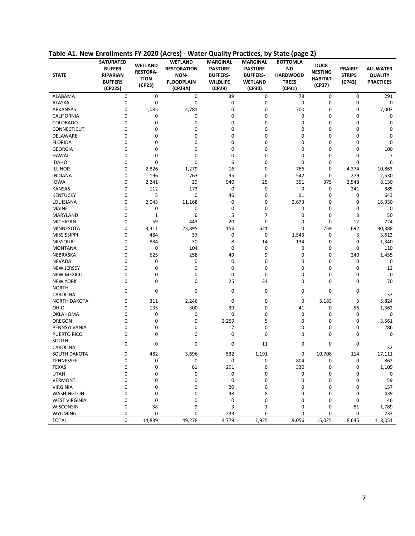| <b>STATE</b>         | <b>SATURATED</b><br><b>BUFFER</b><br><b>RIPARIAN</b><br><b>BUFFERS</b><br>(CP22S) | <b>WETLAND</b><br><b>RESTORA-</b><br><b>TION</b><br>(CP23) | <b>WETLAND</b><br><b>RESTORATION</b><br>NON-<br><b>FLOODPLAIN</b><br>(CP23A) | <b>MARGINAL</b><br><b>PASTURE</b><br><b>BUFFERS-</b><br><b>WILDLIFE</b><br>(CP29) | MARGINAL<br><b>PASTURE</b><br><b>BUFFERS-</b><br><b>WETLAND</b><br>(CP30) | <b>BOTTOMLA</b><br><b>ND</b><br><b>HARDWOOD</b><br><b>TREES</b><br>(CP31) | <b>DUCK</b><br><b>NESTING</b><br><b>HABITAT</b><br>(CP37) | <b>PRAIRIE</b><br><b>STRIPS</b><br>(CP43) | <b>ALL WATER</b><br><b>QUALITY</b><br><b>PRACTICES</b> |
|----------------------|-----------------------------------------------------------------------------------|------------------------------------------------------------|------------------------------------------------------------------------------|-----------------------------------------------------------------------------------|---------------------------------------------------------------------------|---------------------------------------------------------------------------|-----------------------------------------------------------|-------------------------------------------|--------------------------------------------------------|
| ALABAMA              | 0                                                                                 | 0                                                          | 0                                                                            | 39                                                                                | 0                                                                         | 78                                                                        | 0                                                         | 0                                         | 291                                                    |
| <b>ALASKA</b>        | 0                                                                                 | 0                                                          | 0                                                                            | 0                                                                                 | 0                                                                         | 0                                                                         | 0                                                         | 0                                         | 0                                                      |
| ARKANSAS             | 0                                                                                 | 1,085                                                      | 4,781                                                                        | 0                                                                                 | 0                                                                         | 700                                                                       | 0                                                         | 0                                         | 7,003                                                  |
| <b>CALIFORNIA</b>    | 0                                                                                 | 0                                                          | 0                                                                            | 0                                                                                 | 0                                                                         | 0                                                                         | 0                                                         | 0                                         | 0                                                      |
| <b>COLORADO</b>      | 0                                                                                 | 0                                                          | 0                                                                            | 0                                                                                 | 0                                                                         | 0                                                                         | 0                                                         | 0                                         | 0                                                      |
| <b>CONNECTICUT</b>   | 0                                                                                 | 0                                                          | 0                                                                            | 0                                                                                 | 0                                                                         | 0                                                                         | 0                                                         | 0                                         | 0                                                      |
| DELAWARE             | 0                                                                                 | 0                                                          | 0                                                                            | 0                                                                                 | 0                                                                         | 0                                                                         | $\mathbf 0$                                               | 0                                         | 0                                                      |
| <b>FLORIDA</b>       | 0                                                                                 | 0                                                          | 0                                                                            | 0                                                                                 | 0                                                                         | 0                                                                         | 0                                                         | 0                                         | 0                                                      |
| <b>GEORGIA</b>       | 0                                                                                 | 0                                                          | 0                                                                            | 0                                                                                 | 0                                                                         | 0                                                                         | 0                                                         | 0                                         | 100                                                    |
| <b>HAWAII</b>        | 0                                                                                 | 0                                                          | 0                                                                            | 0                                                                                 | 0                                                                         | 0                                                                         | $\mathbf 0$                                               | 0                                         | 7                                                      |
| <b>IDAHO</b>         | 0                                                                                 | 0                                                          | 0                                                                            | 6                                                                                 | 0                                                                         | 0                                                                         | 0                                                         | 0                                         | 6                                                      |
| <b>ILLINOIS</b>      | 0                                                                                 | 2,826                                                      | 1,279                                                                        | 16                                                                                | 0                                                                         | 766                                                                       | 0                                                         | 4,374                                     | 10,863                                                 |
| <b>INDIANA</b>       | 0                                                                                 | 196                                                        | 763                                                                          | 35                                                                                | 0                                                                         | 542                                                                       | 0                                                         | 279                                       | 2,530                                                  |
| <b>IOWA</b>          | 0                                                                                 | 2,241                                                      | 29                                                                           | 940                                                                               | 25                                                                        | 351                                                                       | 375                                                       | 2,548                                     | 8,130                                                  |
| <b>KANSAS</b>        | 0                                                                                 | 112                                                        | 173                                                                          | 0                                                                                 | 0                                                                         | 0                                                                         | 0                                                         | 241                                       | 885                                                    |
| <b>KENTUCKY</b>      | 0                                                                                 | 5                                                          | 0                                                                            | 46                                                                                | 0                                                                         | 91                                                                        | 0                                                         | 0                                         | 643                                                    |
| LOUISIANA            | 0                                                                                 | 2,043                                                      | 11,168                                                                       | 0                                                                                 | 0                                                                         | 3,673                                                                     | 0                                                         | 0                                         | 16,930                                                 |
| <b>MAINE</b>         | 0                                                                                 | 0                                                          | 0                                                                            | 0                                                                                 | 0                                                                         | 0                                                                         | 0                                                         | 0                                         | 0                                                      |
| <b>MARYLAND</b>      | 0                                                                                 | $\mathbf 1$                                                | 6                                                                            | 5                                                                                 | 7                                                                         | 0                                                                         | 0                                                         | 3                                         | 50                                                     |
| <b>MICHIGAN</b>      | 0                                                                                 | 59                                                         | 443                                                                          | 20                                                                                | 0                                                                         | 0                                                                         | 0                                                         | 12                                        | 724                                                    |
| MINNESOTA            | 0                                                                                 | 3,311                                                      | 23,895                                                                       | 156                                                                               | 621                                                                       | 0                                                                         | 759                                                       | 692                                       | 30,388                                                 |
| <b>MISSISSIPPI</b>   | 0                                                                                 | 484                                                        | 37                                                                           | 0                                                                                 | 0                                                                         | 1,543                                                                     | 0                                                         | 3                                         | 3,613                                                  |
| <b>MISSOURI</b>      | 0                                                                                 | 884                                                        | 30                                                                           | 8                                                                                 | 14                                                                        | 134                                                                       | 0                                                         | 0                                         | 1,340                                                  |
| <b>MONTANA</b>       | 0                                                                                 | 0                                                          | 104                                                                          | 0                                                                                 | 0                                                                         | 0                                                                         | 0                                                         | 0                                         | 110                                                    |
| NEBRASKA             | 0                                                                                 | 625                                                        | 258                                                                          | 49                                                                                | 9                                                                         | 0                                                                         | 0                                                         | 240                                       | 1,455                                                  |
| <b>NEVADA</b>        | 0                                                                                 | 0                                                          | 0                                                                            | 0                                                                                 | 0                                                                         | 0                                                                         | 0                                                         | 0                                         | 0                                                      |
| <b>NEW JERSEY</b>    | 0                                                                                 | 0                                                          | 0                                                                            | 0                                                                                 | 0                                                                         | 0                                                                         | 0                                                         | 0                                         | 12                                                     |
| <b>NEW MEXICO</b>    | 0                                                                                 | 0                                                          | 0                                                                            | 0                                                                                 | 0                                                                         | 0                                                                         | 0                                                         | 0                                         | 0                                                      |
| <b>NEW YORK</b>      | 0                                                                                 | 0                                                          | 0                                                                            | 25                                                                                | 34                                                                        | 0                                                                         | 0                                                         | 0                                         | 70                                                     |
| <b>NORTH</b>         |                                                                                   |                                                            |                                                                              |                                                                                   |                                                                           |                                                                           |                                                           |                                           |                                                        |
| CAROLINA             | 0                                                                                 | 0                                                          | 0                                                                            | $\mathbf 0$                                                                       | 0                                                                         | 0                                                                         | 0                                                         | 0                                         | 33                                                     |
| <b>NORTH DAKOTA</b>  | 0                                                                                 | 311                                                        | 2,246                                                                        | 0                                                                                 | 0                                                                         | 0                                                                         | 3,183                                                     | 3                                         | 5,824                                                  |
| OHIO                 | 0                                                                                 | 135                                                        | 300                                                                          | 39                                                                                | 0                                                                         | 41                                                                        | 0                                                         | 56                                        | 1,362                                                  |
| OKLAHOMA             | 0                                                                                 | 0                                                          | 0                                                                            | 0                                                                                 | 0                                                                         | 0                                                                         | 0                                                         | 0                                         | 0                                                      |
| OREGON               | 0                                                                                 | 0                                                          | 0                                                                            | 2,259                                                                             | 5                                                                         | 0                                                                         | 0                                                         | 0                                         | 3,561                                                  |
| PENNSYLVANIA         | 0                                                                                 | 0                                                          | 0                                                                            | 17                                                                                | 0                                                                         | 0                                                                         | 0                                                         | 0                                         | 286                                                    |
| <b>PUERTO RICO</b>   | 0                                                                                 | 0                                                          | 0                                                                            | $\mathbf 0$                                                                       | 0                                                                         | 0                                                                         | 0                                                         | 0                                         | 0                                                      |
| SOUTH                |                                                                                   |                                                            |                                                                              |                                                                                   |                                                                           |                                                                           |                                                           |                                           |                                                        |
| CAROLINA             | 0                                                                                 | 0                                                          | 0                                                                            | 0                                                                                 | 11                                                                        | 0                                                                         | 0                                                         | 0                                         | 32                                                     |
| SOUTH DAKOTA         | 0                                                                                 | 482                                                        | 3,696                                                                        | 532                                                                               | 1,191                                                                     | 0                                                                         | 10,708                                                    | 114                                       | 17,111                                                 |
| TENNESSEE            | U                                                                                 | 0                                                          | 0                                                                            | $\pmb{0}$                                                                         | 0                                                                         | 804                                                                       | 0                                                         | 0                                         | 862                                                    |
| <b>TEXAS</b>         | 0                                                                                 | 0                                                          | 61                                                                           | 291                                                                               | 0                                                                         | 330                                                                       | 0                                                         | 0                                         | 1,109                                                  |
| <b>UTAH</b>          | 0                                                                                 | 0                                                          | 0                                                                            | 0                                                                                 | 0                                                                         | 0                                                                         | 0                                                         | 0                                         | 0                                                      |
| <b>VERMONT</b>       | 0                                                                                 | 0                                                          | 0                                                                            | $\pmb{0}$                                                                         | 0                                                                         | 0                                                                         | 0                                                         | 0                                         | 59                                                     |
|                      |                                                                                   |                                                            |                                                                              |                                                                                   |                                                                           |                                                                           |                                                           |                                           |                                                        |
| <b>VIRGINIA</b>      | 0                                                                                 | 0                                                          | 0                                                                            | 20                                                                                | 0                                                                         | 0<br>0                                                                    | 0<br>0                                                    | 0<br>0                                    | 157                                                    |
| <b>WASHINGTON</b>    | 0                                                                                 | 0                                                          | 0                                                                            | 38                                                                                | 8<br>0                                                                    | 0                                                                         | 0                                                         | 0                                         | 439                                                    |
| <b>WEST VIRGINIA</b> | 0<br>0                                                                            | 0                                                          | 0<br>9                                                                       | 0                                                                                 |                                                                           | 0                                                                         | 0                                                         |                                           | 46                                                     |
| WISCONSIN            | 0                                                                                 | 38<br>0                                                    | 0                                                                            | 3                                                                                 | $1\,$<br>0                                                                | 0                                                                         | 0                                                         | 81<br>0                                   | 1,789<br>233                                           |
| <b>WYOMING</b>       |                                                                                   |                                                            |                                                                              | 233                                                                               |                                                                           |                                                                           |                                                           |                                           |                                                        |
| <b>TOTAL</b>         | 0                                                                                 | 14,839                                                     | 49,278                                                                       | 4,779                                                                             | 1,925                                                                     | 9,056                                                                     | 15,025                                                    | 8,645                                     | 118,051                                                |

**Table A1. New Enrollments FY 2020 (Acres) - Water Quality Practices, by State (page 2)**